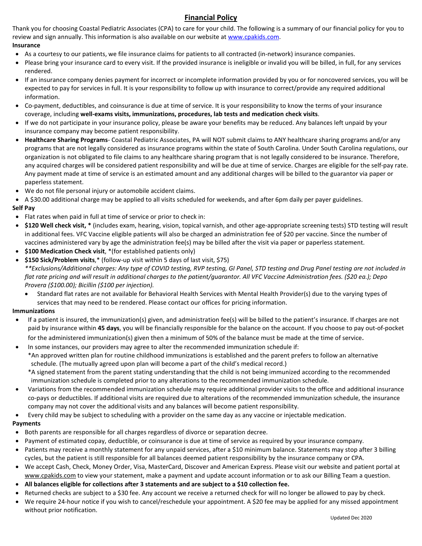## **Financial Policy**

Thank you for choosing Coastal Pediatric Associates (CPA) to care for your child. The following is a summary of our financial policy for you to review and sign annually. This information is also available on our website at [www.cpakids.com.](http://www.cpakids.com/) **Insurance**

- As a courtesy to our patients, we file insurance claims for patients to all contracted (in-network) insurance companies.
- Please bring your insurance card to every visit. If the provided insurance is ineligible or invalid you will be billed, in full, for any services rendered.
- If an insurance company denies payment for incorrect or incomplete information provided by you or for noncovered services, you will be expected to pay for services in full. It is your responsibility to follow up with insurance to correct/provide any required additional information.
- Co-payment, deductibles, and coinsurance is due at time of service. It is your responsibility to know the terms of your insurance coverage, including **well-exams visits, immunizations, procedures, lab tests and medication check visits**.
- If we do not participate in your insurance policy, please be aware your benefits may be reduced. Any balances left unpaid by your insurance company may become patient responsibility.
- **Healthcare Sharing Programs** Coastal Pediatric Associates, PA will NOT submit claims to ANY healthcare sharing programs and/or any programs that are not legally considered as insurance programs within the state of South Carolina. Under South Carolina regulations, our organization is not obligated to file claims to any healthcare sharing program that is not legally considered to be insurance. Therefore, any acquired charges will be considered patient responsibility and will be due at time of service. Charges are eligible for the self-pay rate. Any payment made at time of service is an estimated amount and any additional charges will be billed to the guarantor via paper or paperless statement.
- We do not file personal injury or automobile accident claims.
- A \$30.00 additional charge may be applied to all visits scheduled for weekends, and after 6pm daily per payer guidelines. **Self Pay**
- Flat rates when paid in full at time of service or prior to check in:
- **\$120 Well check visit, \*** (includes exam, hearing, vision, topical varnish, and other age-appropriate screening tests) STD testing will result in additional fees. VFC Vaccine eligible patients will also be charged an administration fee of \$20 per vaccine. Since the number of vaccines administered vary by age the administration fee(s) may be billed after the visit via paper or paperless statement.
- **\$100 Medication Check visit**, \*(for established patients only)
- **\$150 Sick/Problem visits**,\* (follow-up visit within 5 days of last visit, \$75)

*\*\*Exclusions/Additional charges: Any type of COVID testing, RVP testing, GI Panel, STD testing and Drug Panel testing are not included in flat rate pricing and will result in additional charges to the patient/guarantor. All VFC Vaccine Administration fees. (\$20 ea.); Depo Provera (\$100.00); Bicillin (\$100 per injection).*

• Standard flat rates are not available for Behavioral Health Services with Mental Health Provider(s) due to the varying types of services that may need to be rendered. Please contact our offices for pricing information.

## **Immunizations**

- If a patient is insured, the immunization(s) given, and administration fee(s) will be billed to the patient's insurance. If charges are not paid by insurance within **45 days**, you will be financially responsible for the balance on the account. If you choose to pay out-of-pocket for the administered immunization(s) given then a minimum of 50% of the balance must be made at the time of service.
- In some instances, our providers may agree to alter the recommended immunization schedule if:
	- \*An approved written plan for routine childhood immunizations is established and the parent prefers to follow an alternative schedule. (The mutually agreed upon plan will become a part of the child's medical record.)
		- \*A signed statement from the parent stating understanding that the child is not being immunized according to the recommended immunization schedule is completed prior to any alterations to the recommended immunization schedule.
- Variations from the recommended immunization schedule may require additional provider visits to the office and additional insurance co-pays or deductibles. If additional visits are required due to alterations of the recommended immunization schedule, the insurance company may not cover the additional visits and any balances will become patient responsibility.
- Every child may be subject to scheduling with a provider on the same day as any vaccine or injectable medication.

## **Payments**

- Both parents are responsible for all charges regardless of divorce or separation decree.
- Payment of estimated copay, deductible, or coinsurance is due at time of service as required by your insurance company.
- Patients may receive a monthly statement for any unpaid services, after a \$10 minimum balance. Statements may stop after 3 billing cycles, but the patient is still responsible for all balances deemed patient responsibility by the insurance company or CPA.
- We accept Cash, Check, Money Order, Visa, MasterCard, Discover and American Express. Please visit our website and patient portal at www.cpakids.com to view your statement, make a payment and update account information or to ask our Billing Team a question.
- **All balances eligible for collections after 3 statements and are subject to a \$10 collection fee.**
- Returned checks are subject to a \$30 fee. Any account we receive a returned check for will no longer be allowed to pay by check.
- We require 24-hour notice if you wish to cancel/reschedule your appointment. A \$20 fee may be applied for any missed appointment without prior notification.